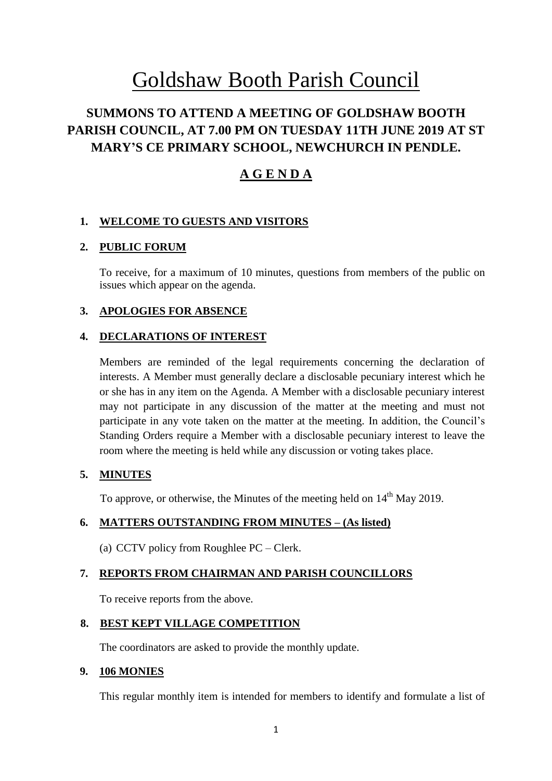# Goldshaw Booth Parish Council

# **SUMMONS TO ATTEND A MEETING OF GOLDSHAW BOOTH PARISH COUNCIL, AT 7.00 PM ON TUESDAY 11TH JUNE 2019 AT ST MARY'S CE PRIMARY SCHOOL, NEWCHURCH IN PENDLE.**

# **A G E N D A**

## **1. WELCOME TO GUESTS AND VISITORS**

### **2. PUBLIC FORUM**

To receive, for a maximum of 10 minutes, questions from members of the public on issues which appear on the agenda.

### **3. APOLOGIES FOR ABSENCE**

#### **4. DECLARATIONS OF INTEREST**

Members are reminded of the legal requirements concerning the declaration of interests. A Member must generally declare a disclosable pecuniary interest which he or she has in any item on the Agenda. A Member with a disclosable pecuniary interest may not participate in any discussion of the matter at the meeting and must not participate in any vote taken on the matter at the meeting. In addition, the Council's Standing Orders require a Member with a disclosable pecuniary interest to leave the room where the meeting is held while any discussion or voting takes place.

### **5. MINUTES**

To approve, or otherwise, the Minutes of the meeting held on  $14<sup>th</sup>$  May 2019.

### **6. MATTERS OUTSTANDING FROM MINUTES – (As listed)**

(a) CCTV policy from Roughlee PC – Clerk.

### **7. REPORTS FROM CHAIRMAN AND PARISH COUNCILLORS**

To receive reports from the above.

#### **8. BEST KEPT VILLAGE COMPETITION**

The coordinators are asked to provide the monthly update.

#### **9. 106 MONIES**

This regular monthly item is intended for members to identify and formulate a list of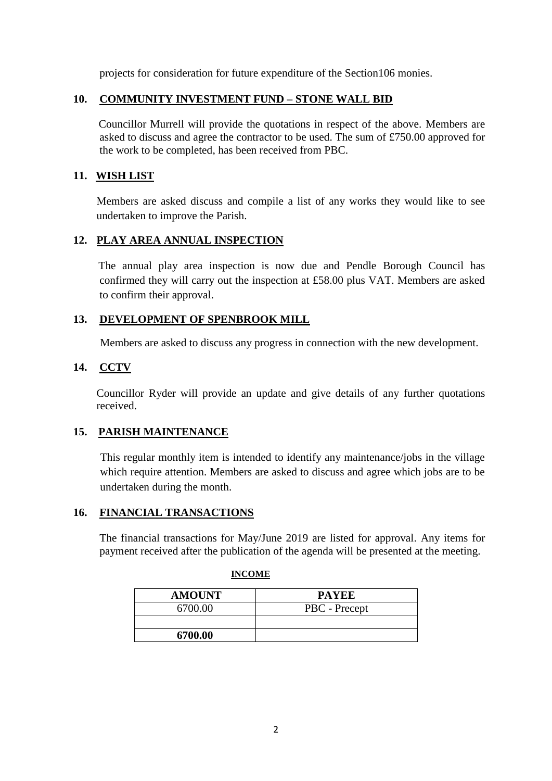projects for consideration for future expenditure of the Section106 monies.

#### **10. COMMUNITY INVESTMENT FUND – STONE WALL BID**

Councillor Murrell will provide the quotations in respect of the above. Members are asked to discuss and agree the contractor to be used. The sum of £750.00 approved for the work to be completed, has been received from PBC.

### **11. WISH LIST**

Members are asked discuss and compile a list of any works they would like to see undertaken to improve the Parish.

### **12. PLAY AREA ANNUAL INSPECTION**

 The annual play area inspection is now due and Pendle Borough Council has confirmed they will carry out the inspection at £58.00 plus VAT. Members are asked to confirm their approval.

## **13. DEVELOPMENT OF SPENBROOK MILL**

Members are asked to discuss any progress in connection with the new development.

### **14. CCTV**

Councillor Ryder will provide an update and give details of any further quotations received.

### **15. PARISH MAINTENANCE**

This regular monthly item is intended to identify any maintenance/jobs in the village which require attention. Members are asked to discuss and agree which jobs are to be undertaken during the month.

### **16. FINANCIAL TRANSACTIONS**

The financial transactions for May/June 2019 are listed for approval. Any items for payment received after the publication of the agenda will be presented at the meeting.

| <b>AMOUNT</b> | <b>PAYEE</b>  |
|---------------|---------------|
| 6700.00       | PBC - Precept |
|               |               |
| 6700.00       |               |

#### **INCOME**